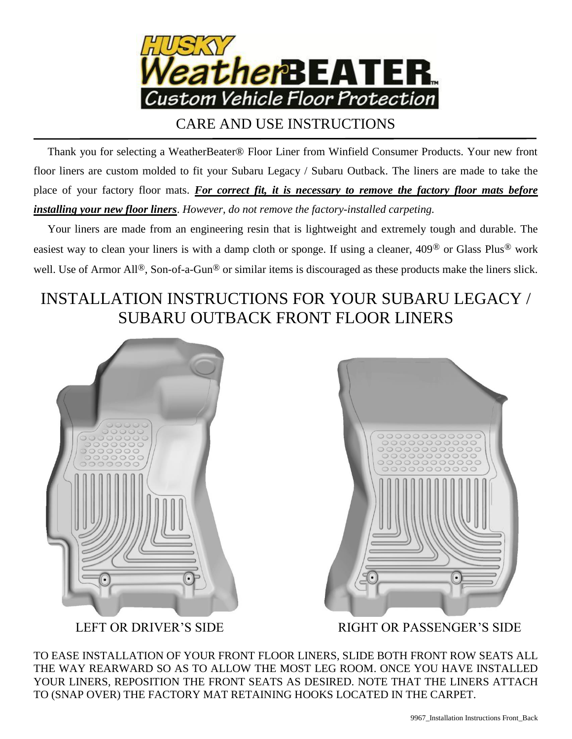

CARE AND USE INSTRUCTIONS

 Thank you for selecting a WeatherBeater® Floor Liner from Winfield Consumer Products. Your new front floor liners are custom molded to fit your Subaru Legacy / Subaru Outback. The liners are made to take the place of your factory floor mats. *For correct fit, it is necessary to remove the factory floor mats before installing your new floor liners*. *However, do not remove the factory-installed carpeting.*

 Your liners are made from an engineering resin that is lightweight and extremely tough and durable. The easiest way to clean your liners is with a damp cloth or sponge. If using a cleaner, 409® or Glass Plus® work well. Use of Armor All<sup>®</sup>, Son-of-a-Gun<sup>®</sup> or similar items is discouraged as these products make the liners slick.

## INSTALLATION INSTRUCTIONS FOR YOUR SUBARU LEGACY / SUBARU OUTBACK FRONT FLOOR LINERS





LEFT OR DRIVER'S SIDE RIGHT OR PASSENGER'S SIDE

TO EASE INSTALLATION OF YOUR FRONT FLOOR LINERS, SLIDE BOTH FRONT ROW SEATS ALL THE WAY REARWARD SO AS TO ALLOW THE MOST LEG ROOM. ONCE YOU HAVE INSTALLED YOUR LINERS, REPOSITION THE FRONT SEATS AS DESIRED. NOTE THAT THE LINERS ATTACH TO (SNAP OVER) THE FACTORY MAT RETAINING HOOKS LOCATED IN THE CARPET.